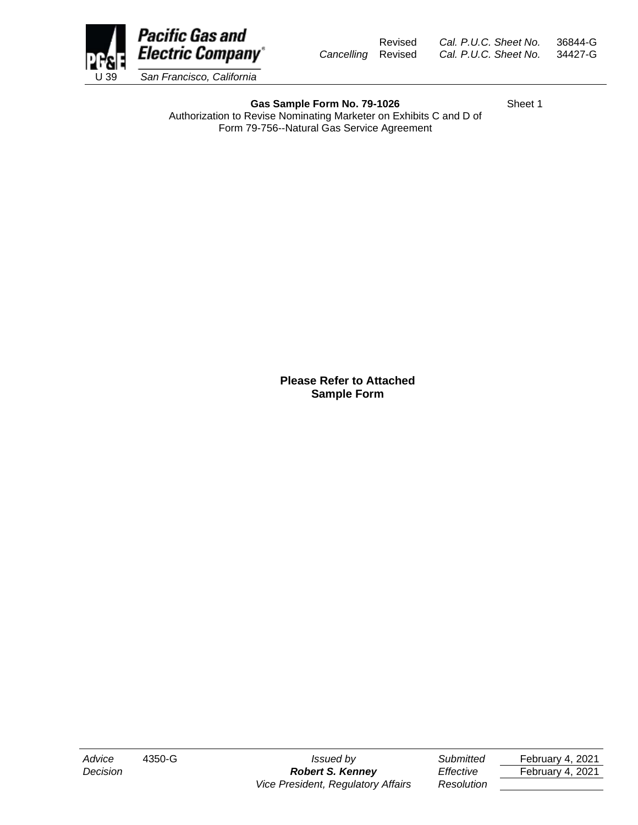

Gas Sample Form No. 79-1026 Sheet 1 Authorization to Revise Nominating Marketer on Exhibits C and D of Form 79-756--Natural Gas Service Agreement

> **Please Refer to Attached Sample Form**

*Decision Robert S. Kenney Effective* February 4, 2021 *Vice President, Regulatory Affairs Resolution*

*Advice* 4350-G *Issued by Submitted* February 4, 2021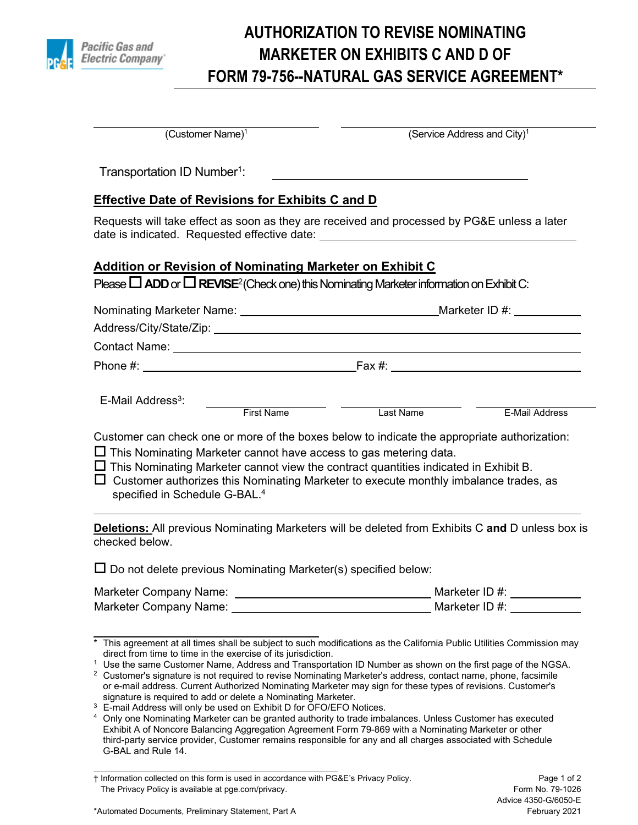

## **AUTHORIZATION TO REVISE NOMINATING MARKETER ON EXHIBITS C AND D OF FORM 79-756--NATURAL GAS SERVICE AGREEMENT\***

| $(Customer Name)^1$                                                                                                                                                                                                                                                                                                                                                                                                                                                                                   | (Service Address and City) <sup>1</sup>                                                                                                                                                                                                                                                                                                                                                                                                                                                                                                                                   |
|-------------------------------------------------------------------------------------------------------------------------------------------------------------------------------------------------------------------------------------------------------------------------------------------------------------------------------------------------------------------------------------------------------------------------------------------------------------------------------------------------------|---------------------------------------------------------------------------------------------------------------------------------------------------------------------------------------------------------------------------------------------------------------------------------------------------------------------------------------------------------------------------------------------------------------------------------------------------------------------------------------------------------------------------------------------------------------------------|
| Transportation ID Number <sup>1</sup> :                                                                                                                                                                                                                                                                                                                                                                                                                                                               |                                                                                                                                                                                                                                                                                                                                                                                                                                                                                                                                                                           |
| <b>Effective Date of Revisions for Exhibits C and D</b>                                                                                                                                                                                                                                                                                                                                                                                                                                               |                                                                                                                                                                                                                                                                                                                                                                                                                                                                                                                                                                           |
| date is indicated. Requested effective date: ___________________________________                                                                                                                                                                                                                                                                                                                                                                                                                      | Requests will take effect as soon as they are received and processed by PG&E unless a later                                                                                                                                                                                                                                                                                                                                                                                                                                                                               |
| Addition or Revision of Nominating Marketer on Exhibit C                                                                                                                                                                                                                                                                                                                                                                                                                                              |                                                                                                                                                                                                                                                                                                                                                                                                                                                                                                                                                                           |
| Please $\Box$ ADD or $\Box$ REVISE <sup>2</sup> (Check one) this Nominating Marketer information on Exhibit C:                                                                                                                                                                                                                                                                                                                                                                                        |                                                                                                                                                                                                                                                                                                                                                                                                                                                                                                                                                                           |
|                                                                                                                                                                                                                                                                                                                                                                                                                                                                                                       |                                                                                                                                                                                                                                                                                                                                                                                                                                                                                                                                                                           |
|                                                                                                                                                                                                                                                                                                                                                                                                                                                                                                       |                                                                                                                                                                                                                                                                                                                                                                                                                                                                                                                                                                           |
| Contact Name: Name: Name and Security and Security and Security and Security and Security and Security and Security and Security and Security and Security and Security and Security and Security and Security and Security an                                                                                                                                                                                                                                                                        |                                                                                                                                                                                                                                                                                                                                                                                                                                                                                                                                                                           |
|                                                                                                                                                                                                                                                                                                                                                                                                                                                                                                       |                                                                                                                                                                                                                                                                                                                                                                                                                                                                                                                                                                           |
| E-Mail Address <sup>3</sup> :                                                                                                                                                                                                                                                                                                                                                                                                                                                                         |                                                                                                                                                                                                                                                                                                                                                                                                                                                                                                                                                                           |
| <b>First Name</b>                                                                                                                                                                                                                                                                                                                                                                                                                                                                                     | Last Name<br><b>E-Mail Address</b>                                                                                                                                                                                                                                                                                                                                                                                                                                                                                                                                        |
|                                                                                                                                                                                                                                                                                                                                                                                                                                                                                                       | Customer can check one or more of the boxes below to indicate the appropriate authorization:                                                                                                                                                                                                                                                                                                                                                                                                                                                                              |
| $\Box$ This Nominating Marketer cannot have access to gas metering data.                                                                                                                                                                                                                                                                                                                                                                                                                              |                                                                                                                                                                                                                                                                                                                                                                                                                                                                                                                                                                           |
| $\Box$ This Nominating Marketer cannot view the contract quantities indicated in Exhibit B.<br>$\Box$ Customer authorizes this Nominating Marketer to execute monthly imbalance trades, as                                                                                                                                                                                                                                                                                                            |                                                                                                                                                                                                                                                                                                                                                                                                                                                                                                                                                                           |
| specified in Schedule G-BAL. <sup>4</sup>                                                                                                                                                                                                                                                                                                                                                                                                                                                             |                                                                                                                                                                                                                                                                                                                                                                                                                                                                                                                                                                           |
| checked below.                                                                                                                                                                                                                                                                                                                                                                                                                                                                                        | <b>Deletions:</b> All previous Nominating Marketers will be deleted from Exhibits C and D unless box is                                                                                                                                                                                                                                                                                                                                                                                                                                                                   |
| $\Box$ Do not delete previous Nominating Marketer(s) specified below:                                                                                                                                                                                                                                                                                                                                                                                                                                 |                                                                                                                                                                                                                                                                                                                                                                                                                                                                                                                                                                           |
|                                                                                                                                                                                                                                                                                                                                                                                                                                                                                                       |                                                                                                                                                                                                                                                                                                                                                                                                                                                                                                                                                                           |
| Marketer Company Name:                                                                                                                                                                                                                                                                                                                                                                                                                                                                                | Marketer ID #:                                                                                                                                                                                                                                                                                                                                                                                                                                                                                                                                                            |
| direct from time to time in the exercise of its jurisdiction.<br>$\mathbf{1}$<br>$2$ Customer's signature is not required to revise Nominating Marketer's address, contact name, phone, facsimile<br>signature is required to add or delete a Nominating Marketer.<br><sup>3</sup> E-mail Address will only be used on Exhibit D for OFO/EFO Notices.<br>$\overline{a}$<br>Exhibit A of Noncore Balancing Aggregation Agreement Form 79-869 with a Nominating Marketer or other<br>G-BAL and Rule 14. | This agreement at all times shall be subject to such modifications as the California Public Utilities Commission may<br>Use the same Customer Name, Address and Transportation ID Number as shown on the first page of the NGSA.<br>or e-mail address. Current Authorized Nominating Marketer may sign for these types of revisions. Customer's<br>Only one Nominating Marketer can be granted authority to trade imbalances. Unless Customer has executed<br>third-party service provider, Customer remains responsible for any and all charges associated with Schedule |

† Information collected on this form is used in accordance with PG&E's Privacy Policy. Page 1 of 2 The Privacy Policy is available at pge.com/privacy. The example of the example of the Form No. 79-1026